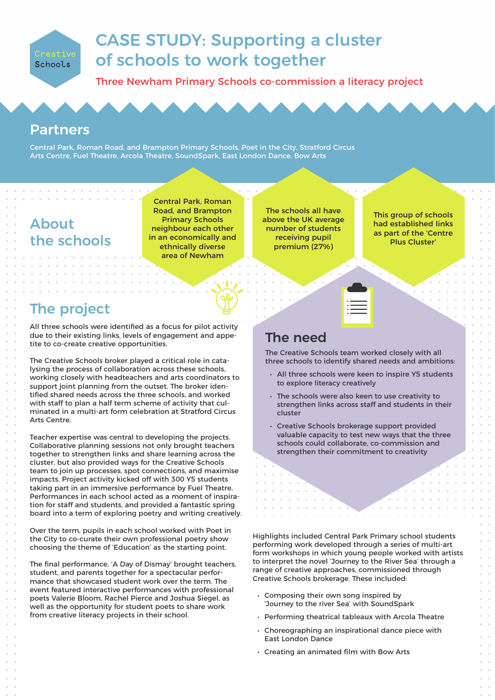

# CASE STUDY: Supporting a cluster of schools to work together

Three Newham Primary Schools co-commission a literacy project

### Partners

Central Park, Roman Road, and Brampton Primary Schools, Poet in the City, Stratford Circus Arts Centre, Fuel Theatre, Arcola Theatre, SoundSpark, East London Dance, Bow Arts

## About the schools

and a series of the series of the the contract of the con-

Central Park, Roman Road, and Brampton Primary Schools neighbour each other in an economically and ethnically diverse area of Newham

### The project

All three schools were identified as a focus for pilot activity due to their existing links, levels of engagement and appetite to co-create creative opportunities.

The Creative Schools broker played a critical role in catalysing the process of collaboration across these schools, working closely with headteachers and arts coordinators to support joint planning from the outset. The broker identified shared needs across the three schools, and worked with staff to plan a half term scheme of activity that culminated in a multi-art form celebration at Stratford Circus Arts Centre.

Teacher expertise was central to developing the projects. Collaborative planning sessions not only brought teachers together to strengthen links and share learning across the cluster, but also provided ways for the Creative Schools team to join up processes, spot connections, and maximise impacts. Project activity kicked off with 300 Y5 students taking part in an immersive performance by Fuel Theatre. Performances in each school acted as a moment of inspiration for staff and students, and provided a fantastic spring board into a term of exploring poetry and writing creatively.

Over the term, pupils in each school worked with Poet in the City to co-curate their own professional poetry show choosing the theme of 'Education' as the starting point.

The final performance, 'A Day of Dismay' brought teachers, student, and parents together for a spectacular performance that showcased student work over the term. The event featured interactive performances with professional poets Valerie Bloom, Rachel Pierce and Joshua Siegel, as well as the opportunity for student poets to share work from creative literacy projects in their school.

The schools all have above the UK average number of students receiving pupil premium (27%)

This group of schools had established links as part of the 'Centre Plus Cluster'

### The need

The Creative Schools team worked closely with all three schools to identify shared needs and ambitions:

- All three schools were keen to inspire Y5 students to explore literacy creatively
- The schools were also keen to use creativity to strengthen links across staff and students in their cluster
- Creative Schools brokerage support provided valuable capacity to test new ways that the three schools could collaborate, co-commission and strengthen their commitment to creativity

Highlights included Central Park Primary school students performing work developed through a series of multi-art form workshops in which young people worked with artists to interpret the novel 'Journey to the River Sea' through a range of creative approaches, commissioned through Creative Schools brokerage. These included:

- Composing their own song inspired by 'Journey to the river Sea' with SoundSpark
- Performing theatrical tableaux with Arcola Theatre
- Choreographing an inspirational dance piece with East London Dance
- Creating an animated film with Bow Arts